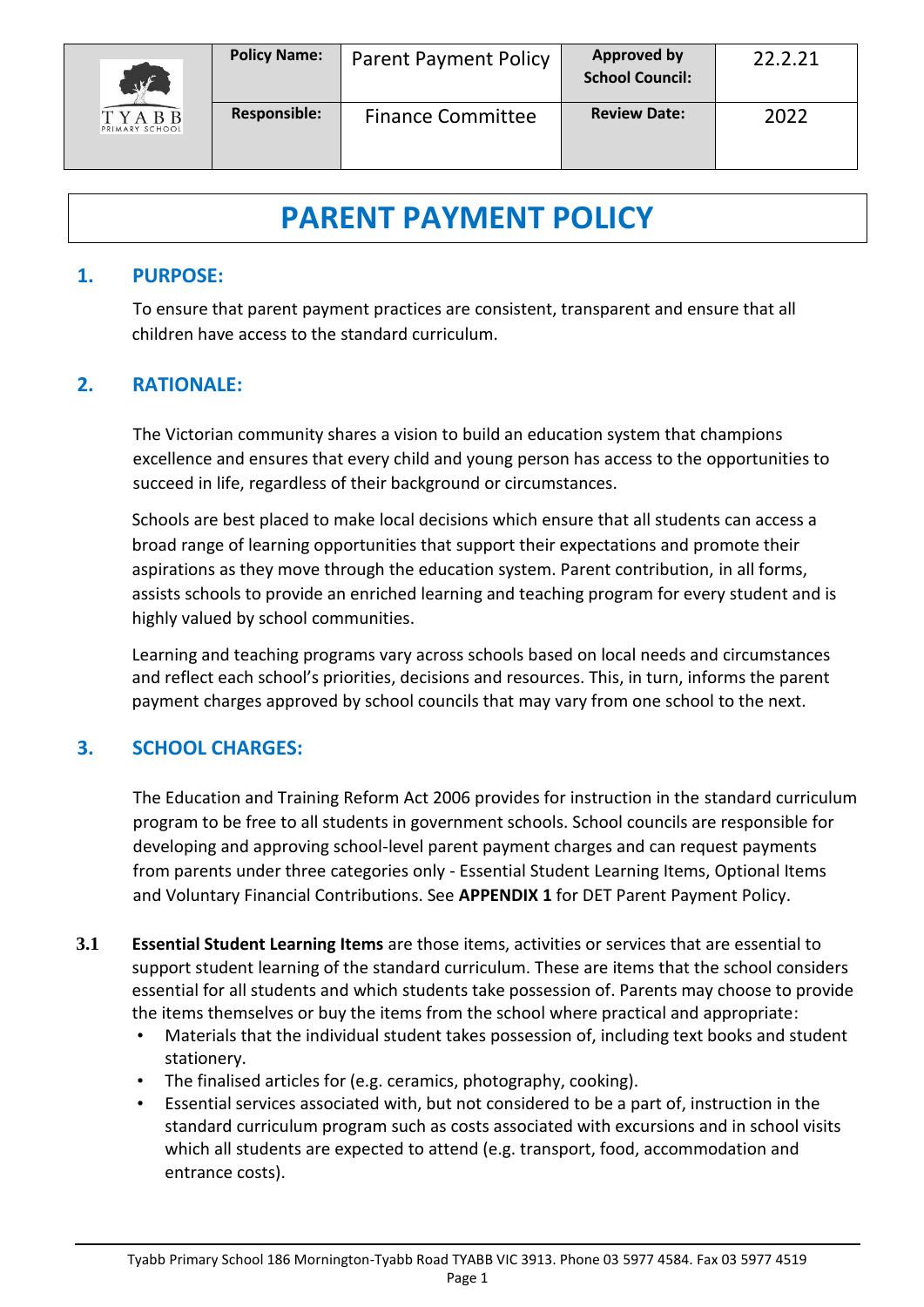

# **PARENT PAYMENT POLICY**

## **1. PURPOSE:**

To ensure that parent payment practices are consistent, transparent and ensure that all children have access to the standard curriculum.

# **2. RATIONALE:**

The Victorian community shares a vision to build an education system that champions excellence and ensures that every child and young person has access to the opportunities to succeed in life, regardless of their background or circumstances.

Schools are best placed to make local decisions which ensure that all students can access a broad range of learning opportunities that support their expectations and promote their aspirations as they move through the education system. Parent contribution, in all forms, assists schools to provide an enriched learning and teaching program for every student and is highly valued by school communities.

Learning and teaching programs vary across schools based on local needs and circumstances and reflect each school's priorities, decisions and resources. This, in turn, informs the parent payment charges approved by school councils that may vary from one school to the next.

# **3. SCHOOL CHARGES:**

The Education and Training Reform Act 2006 provides for instruction in the standard curriculum program to be free to all students in government schools. School councils are responsible for developing and approving school-level parent payment charges and can request payments from parents under three categories only - Essential Student Learning Items, Optional Items and Voluntary Financial Contributions. See **APPENDIX 1** for DET Parent Payment Policy.

- **3.1 Essential Student Learning Items** are those items, activities or services that are essential to support student learning of the standard curriculum. These are items that the school considers essential for all students and which students take possession of. Parents may choose to provide the items themselves or buy the items from the school where practical and appropriate:
	- Materials that the individual student takes possession of, including text books and student stationery.
	- The finalised articles for (e.g. ceramics, photography, cooking).
	- Essential services associated with, but not considered to be a part of, instruction in the standard curriculum program such as costs associated with excursions and in school visits which all students are expected to attend (e.g. transport, food, accommodation and entrance costs).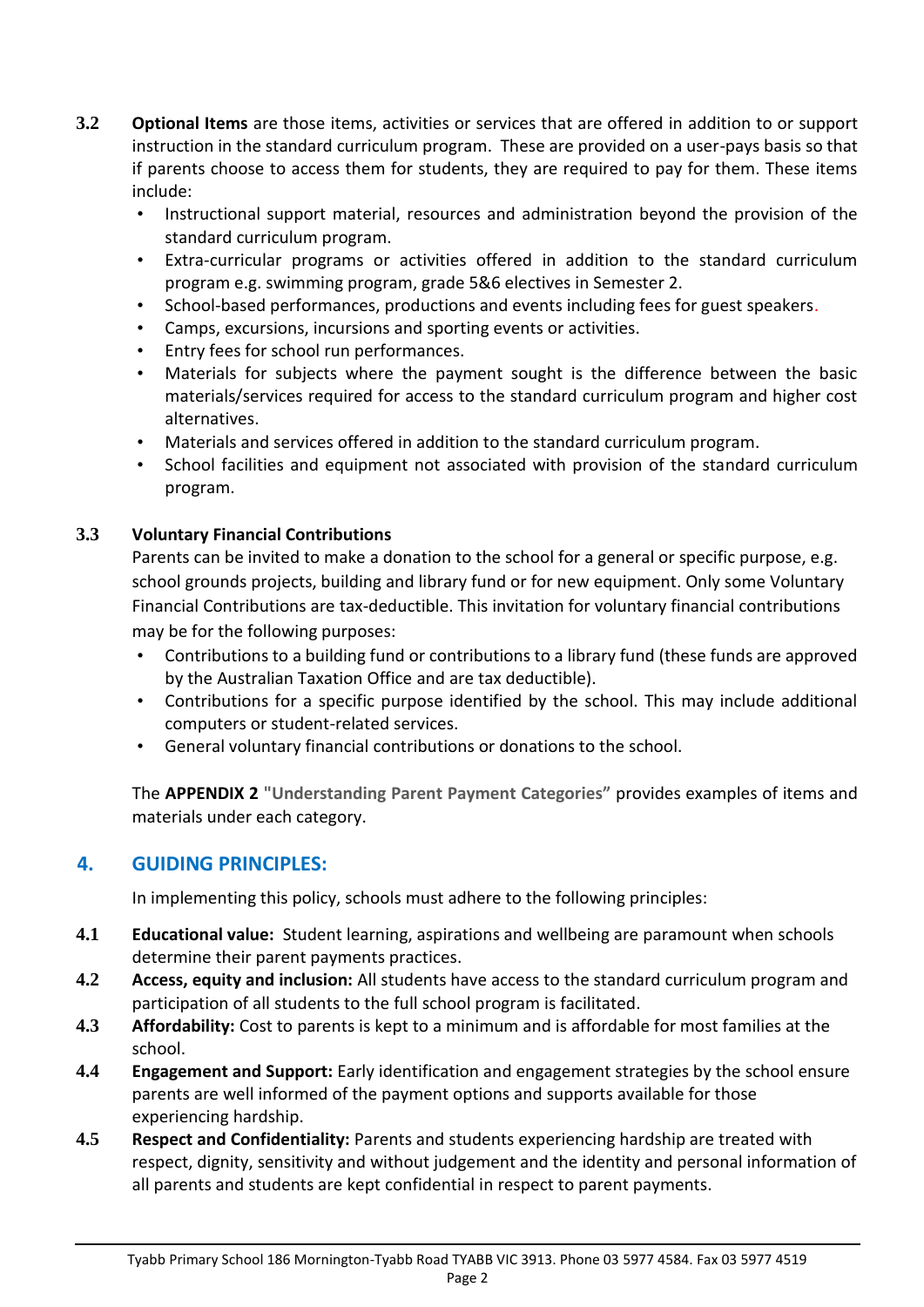- **3.2 Optional Items** are those items, activities or services that are offered in addition to or support instruction in the standard curriculum program. These are provided on a user-pays basis so that if parents choose to access them for students, they are required to pay for them. These items include:
	- Instructional support material, resources and administration beyond the provision of the standard curriculum program.
	- Extra-curricular programs or activities offered in addition to the standard curriculum program e.g. swimming program, grade 5&6 electives in Semester 2.
	- School-based performances, productions and events including fees for guest speakers.
	- Camps, excursions, incursions and sporting events or activities.
	- Entry fees for school run performances.
	- Materials for subjects where the payment sought is the difference between the basic materials/services required for access to the standard curriculum program and higher cost alternatives.
	- Materials and services offered in addition to the standard curriculum program.
	- School facilities and equipment not associated with provision of the standard curriculum program.

## **3.3 Voluntary Financial Contributions**

Parents can be invited to make a donation to the school for a general or specific purpose, e.g. school grounds projects, building and library fund or for new equipment. Only some Voluntary Financial Contributions are tax-deductible. This invitation for voluntary financial contributions may be for the following purposes:

- Contributions to a building fund or contributions to a library fund (these funds are approved by the Australian Taxation Office and are tax deductible).
- Contributions for a specific purpose identified by the school. This may include additional computers or student-related services.
- General voluntary financial contributions or donations to the school.

The **APPENDIX 2 "Understanding Parent Payment Categories"** provides examples of items and materials under each category.

# **4. GUIDING PRINCIPLES:**

In implementing this policy, schools must adhere to the following principles:

- **4.1 Educational value:** Student learning, aspirations and wellbeing are paramount when schools determine their parent payments practices.
- **4.2 Access, equity and inclusion:** All students have access to the standard curriculum program and participation of all students to the full school program is facilitated.
- **4.3 Affordability:** Cost to parents is kept to a minimum and is affordable for most families at the school.
- **4.4 Engagement and Support:** Early identification and engagement strategies by the school ensure parents are well informed of the payment options and supports available for those experiencing hardship.
- **4.5 Respect and Confidentiality:** Parents and students experiencing hardship are treated with respect, dignity, sensitivity and without judgement and the identity and personal information of all parents and students are kept confidential in respect to parent payments.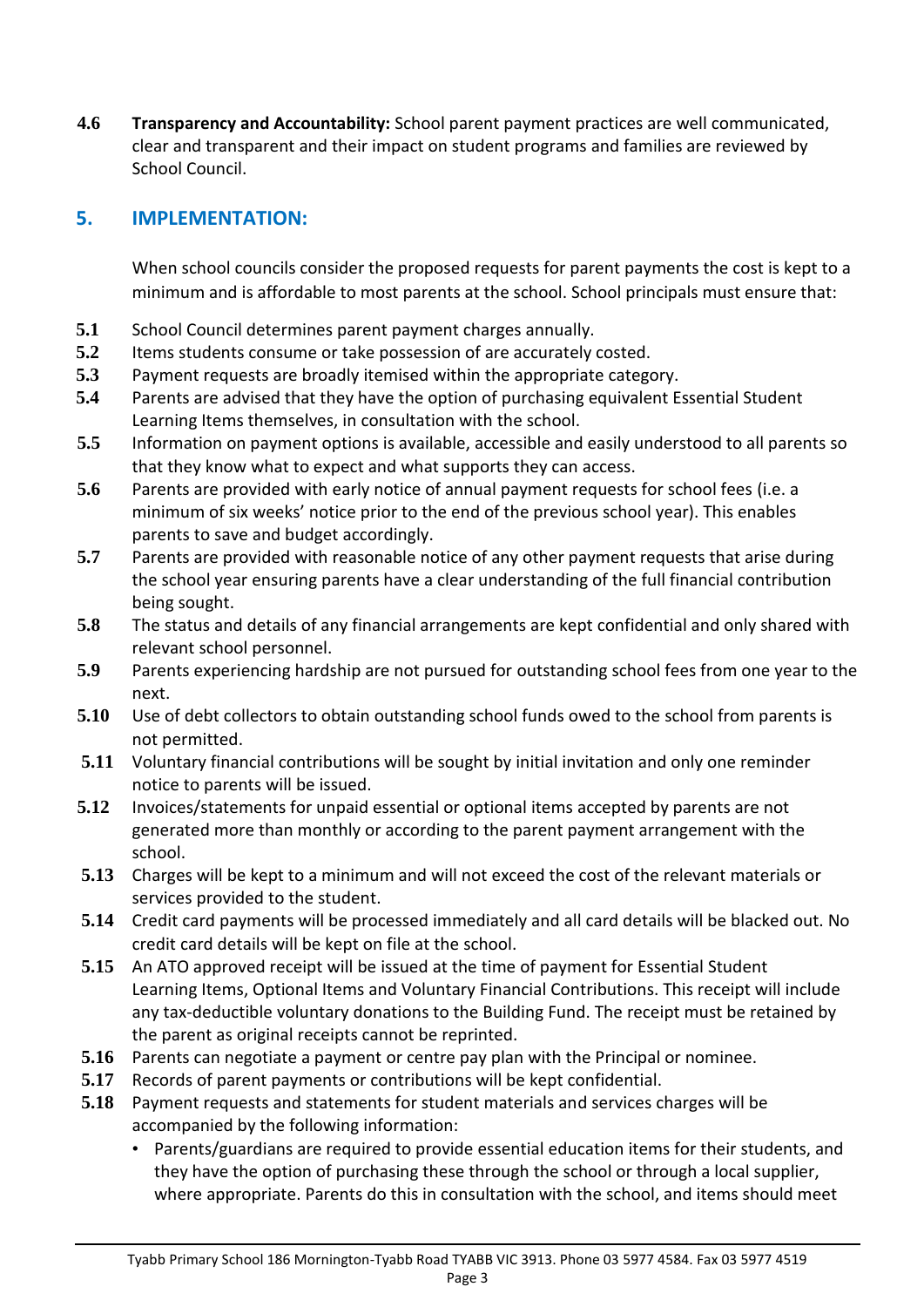**4.6 Transparency and Accountability:** School parent payment practices are well communicated, clear and transparent and their impact on student programs and families are reviewed by School Council.

# **5. IMPLEMENTATION:**

When school councils consider the proposed requests for parent payments the cost is kept to a minimum and is affordable to most parents at the school. School principals must ensure that:

- **5.1** School Council determines parent payment charges annually.
- **5.2** Items students consume or take possession of are accurately costed.
- **5.3** Payment requests are broadly itemised within the appropriate category.
- **5.4** Parents are advised that they have the option of purchasing equivalent Essential Student Learning Items themselves, in consultation with the school.
- **5.5** Information on payment options is available, accessible and easily understood to all parents so that they know what to expect and what supports they can access.
- **5.6** Parents are provided with early notice of annual payment requests for school fees (i.e. a minimum of six weeks' notice prior to the end of the previous school year). This enables parents to save and budget accordingly.
- **5.7** Parents are provided with reasonable notice of any other payment requests that arise during the school year ensuring parents have a clear understanding of the full financial contribution being sought.
- **5.8** The status and details of any financial arrangements are kept confidential and only shared with relevant school personnel.
- **5.9** Parents experiencing hardship are not pursued for outstanding school fees from one year to the next.
- **5.10** Use of debt collectors to obtain outstanding school funds owed to the school from parents is not permitted.
- **5.11** Voluntary financial contributions will be sought by initial invitation and only one reminder notice to parents will be issued.
- **5.12** Invoices/statements for unpaid essential or optional items accepted by parents are not generated more than monthly or according to the parent payment arrangement with the school.
- **5.13** Charges will be kept to a minimum and will not exceed the cost of the relevant materials or services provided to the student.
- **5.14** Credit card payments will be processed immediately and all card details will be blacked out. No credit card details will be kept on file at the school.
- **5.15** An ATO approved receipt will be issued at the time of payment for Essential Student Learning Items, Optional Items and Voluntary Financial Contributions. This receipt will include any tax-deductible voluntary donations to the Building Fund. The receipt must be retained by the parent as original receipts cannot be reprinted.
- **5.16** Parents can negotiate a payment or centre pay plan with the Principal or nominee.
- **5.17** Records of parent payments or contributions will be kept confidential.
- **5.18** Payment requests and statements for student materials and services charges will be accompanied by the following information:
	- Parents/guardians are required to provide essential education items for their students, and they have the option of purchasing these through the school or through a local supplier, where appropriate. Parents do this in consultation with the school, and items should meet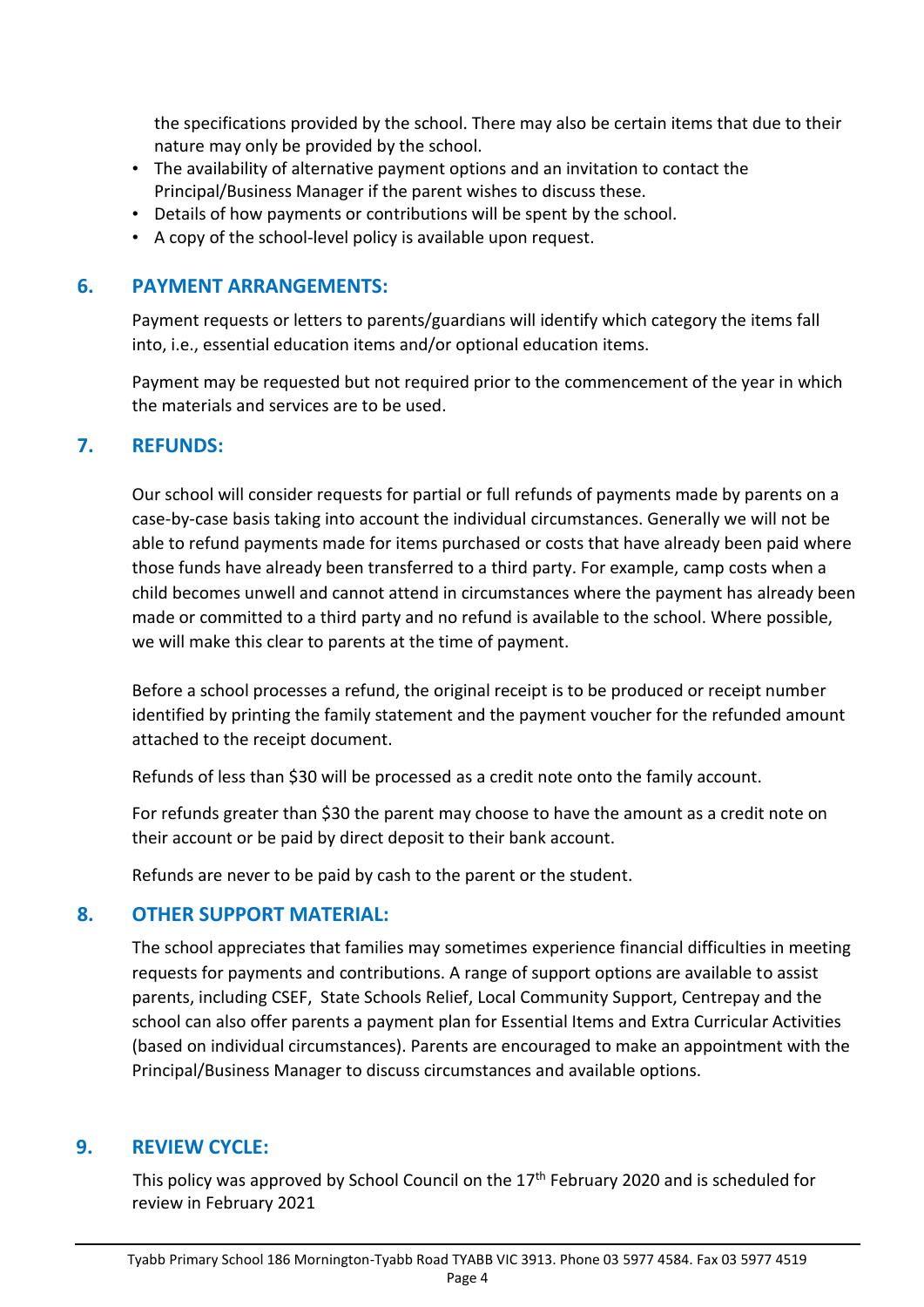the specifications provided by the school. There may also be certain items that due to their nature may only be provided by the school.

- The availability of alternative payment options and an invitation to contact the Principal/Business Manager if the parent wishes to discuss these.
- Details of how payments or contributions will be spent by the school.
- A copy of the school-level policy is available upon request.

## **6. PAYMENT ARRANGEMENTS:**

Payment requests or letters to parents/guardians will identify which category the items fall into, i.e., essential education items and/or optional education items.

Payment may be requested but not required prior to the commencement of the year in which the materials and services are to be used.

## **7. REFUNDS:**

Our school will consider requests for partial or full refunds of payments made by parents on a case-by-case basis taking into account the individual circumstances. Generally we will not be able to refund payments made for items purchased or costs that have already been paid where those funds have already been transferred to a third party. For example, camp costs when a child becomes unwell and cannot attend in circumstances where the payment has already been made or committed to a third party and no refund is available to the school. Where possible, we will make this clear to parents at the time of payment.

Before a school processes a refund, the original receipt is to be produced or receipt number identified by printing the family statement and the payment voucher for the refunded amount attached to the receipt document.

Refunds of less than \$30 will be processed as a credit note onto the family account.

For refunds greater than \$30 the parent may choose to have the amount as a credit note on their account or be paid by direct deposit to their bank account.

Refunds are never to be paid by cash to the parent or the student.

## **8. OTHER SUPPORT MATERIAL:**

The school appreciates that families may sometimes experience financial difficulties in meeting requests for payments and contributions. A range of support options are available to assist parents, including CSEF, State Schools Relief, Local Community Support, Centrepay and the school can also offer parents a payment plan for Essential Items and Extra Curricular Activities (based on individual circumstances). Parents are encouraged to make an appointment with the Principal/Business Manager to discuss circumstances and available options.

# **9. REVIEW CYCLE:**

This policy was approved by School Council on the 17<sup>th</sup> February 2020 and is scheduled for review in February 2021